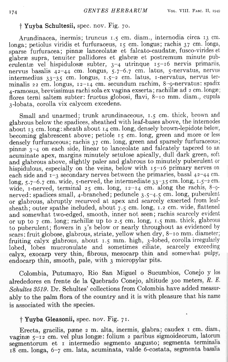## t **Yuyba Schultesii,** spec. nov. Fig. 70.

Arundinacea, inermis; truncus 1.5 em. diam., internodia circa 13 em. longa; petiolus viridis et furfuraceus, 15 em. longus; rachis 37 em. longa, sparse furfuracea; pinnæ lanceolatæ et falcato-caudatæ, fusco-virides et glabræ supra, tenuiter pallidores et glabræ et postremum minute puberulentæ vel hispidulosæ subter,  $3-4$  utrinque  $15-16$  nervis primariis, nervus basalis  $42-44$  cm. longus,  $5.7-6.7$  cm. latus,  $5$ -nervatus, nervus intermedius 33-35 em. longus, 1.5-2 em. latus, I-nervatus, nervus terminalis 22 em. longus, 12-14 em. secundum rachim, 8-g-nervatus: spadix 4-ramosus, brevissimus rachi sola ex vagina exserta; rachillæ ad 2 cm. longæ; flores terni saltem subter: fructus globosi, flavi, 8-10 mm. diam., cupula 3-lobata, corolla vix calycem excedens.

Small and unarmed; trunk arundinaceous, 1.5 cm. thick, brown and glabrous below the spadices, sheathed with leaf-bases above, the internodes about  $13 \text{ cm}$ . long: sheath about  $14 \text{ cm}$ . long, densely brown-lepidote below, becoming glabrescent above; petiole 15 cm. long, green and more or less densely furfuraceous; rachis 37 cm. long, green and sparsely furfuraceous; pinn $x_3$ -4 on each side, linear to lanceolate and falcately tapered to an acuminate apex, margins minutely setulose apically, dull dark green, soft and glabrous above, slightly paler and glabrous to minutely puberulent or hispidulous, especially on the veins, below with 15-16 primary nerves on each side and  $i$ -3 secondary nerves between the primaries, basal  $42-44$  cm. long,  $5.7-6.7$  cm. wide,  $5$ -nerved, the intermediate  $33-35$  cm. long,  $1.5-2$  cm. wide, I-nerved, terminal  $25 \text{ cm}$ . long,  $12-14 \text{ cm}$ . along the rachis,  $8-9$ nerved: spadices small, 4-branched; peduncle 3.5-4.5 em. long, puberulent or glabrous, abruptly recurved at apex and scarcely exserted from leafsheath; outer spathe included, about 7.5 cm. long, 1.2 cm. wide, flattened and somewhat two-edged, smooth, inner not seen; rachis scarcely evident or up to  $7 \text{ cm}$ . long; rachillæ up to  $2.5 \text{ cm}$ . long,  $1.5 \text{ mm}$ . thick, glabrous to puberulent; flowers in 3'S below or nearly throughout as evidenced by scars: fruit globose, glabrous, striate, yellow when dry, 8-10 mm. diameter; fruiting calyx glabrous, about 1.5 mm. high, 3-lobed, corolla irregularly lobed, lobes mucronulate and sometimes ciliate, scarcely exceeding calyx, exocarp very thin, fibrous, mesocarp thin and somewhat pulpy, endocarp thin, smooth, pale, with 3 micropylar pits.

Colombia, Putumayo, Rio San Miguel <sup>0</sup> Sucumbios, Conejo y los alrededores en frente de la Quebrado Conejo, altitude 300 meters, R. E. *Schultes* 3519. Dr. Schultes' collections from Colombia have added measurably to the palm flora of the country and it is with pleasure that his name is associated with the species.

## t **Yuyba Gleasonii,** spec. nov. Fig. 71.

Erecta, gracilis, pæne 2 m. alta, inermis, glabra; caudex 1 cm. diam., vaginæ 5-12 cm. vel plus longæ: folium 2 paribus sigmoideorum, latorum segmentorum et I intermedio segmento angusto; segmenta terminalia 18 em. longa, 6-7 em. lata, acuminata, valde 6-costata, segmenta basalia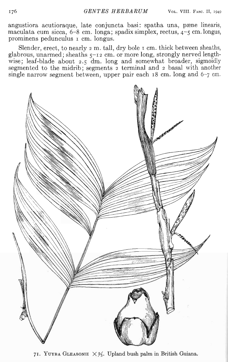angustiora acutioraque, late conjuncta basi: spatha una, pæne linearis, maculata cum sicca,  $6-8$  cm. longa; spadix simplex, rectus,  $4-5$  cm. longus, prominens pedunculus <sup>I</sup> em. longus.

Slender, erect, to nearly  $2 \text{ m}$ . tall, dry bole  $\text{ r}$  cm. thick between sheaths, glabrous, unarmed; sheaths 5-12 em. or more long, strongly nerved lengthwise; leaf-blade about 2.5 dm. long and somewhat broader, sigmoidly segmented to the midrib; segments  $\frac{1}{2}$  terminal and  $\frac{1}{2}$  basal with another single narrow segment between, upper pair each 18 em. long and 6-7 em.



71. YUYBA GLEASONII  $\times\frac{3}{5}$ . Upland bush palm in British Guiana.